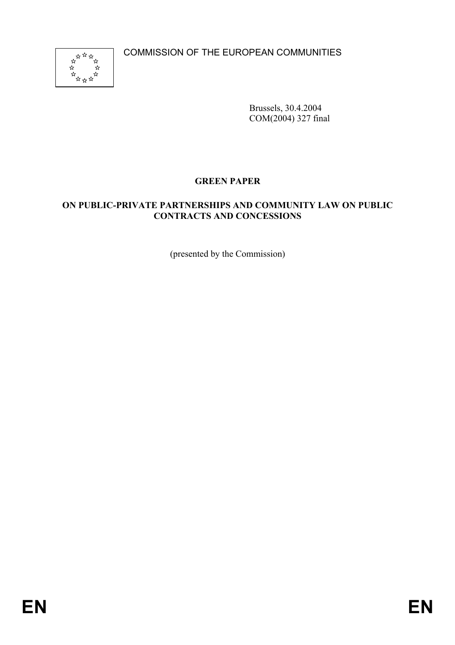COMMISSION OF THE EUROPEAN COMMUNITIES



Brussels, 30.4.2004 COM(2004) 327 final

# **GREEN PAPER**

# **ON PUBLIC-PRIVATE PARTNERSHIPS AND COMMUNITY LAW ON PUBLIC CONTRACTS AND CONCESSIONS**

(presented by the Commission)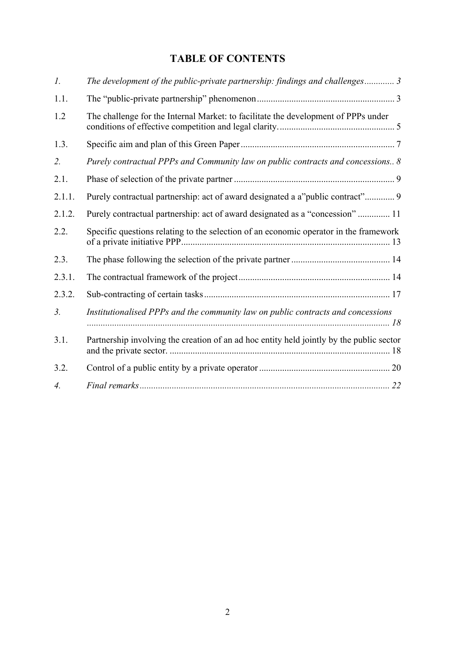# **TABLE OF CONTENTS**

| $\mathcal{I}$ .       | The development of the public-private partnership: findings and challenges 3             |
|-----------------------|------------------------------------------------------------------------------------------|
| 1.1.                  |                                                                                          |
| 1.2                   | The challenge for the Internal Market: to facilitate the development of PPPs under       |
| 1.3.                  |                                                                                          |
| 2.                    | Purely contractual PPPs and Community law on public contracts and concessions 8          |
| 2.1.                  |                                                                                          |
| 2.1.1.                | Purely contractual partnership: act of award designated a a"public contract" 9           |
| 2.1.2.                | Purely contractual partnership: act of award designated as a "concession"  11            |
| 2.2.                  | Specific questions relating to the selection of an economic operator in the framework    |
| 2.3.                  |                                                                                          |
| 2.3.1.                |                                                                                          |
| 2.3.2.                |                                                                                          |
| 3 <sub>1</sub>        | Institutionalised PPPs and the community law on public contracts and concessions         |
| 3.1.                  | Partnership involving the creation of an ad hoc entity held jointly by the public sector |
| 3.2.                  |                                                                                          |
| $\mathcal{A}_{\cdot}$ |                                                                                          |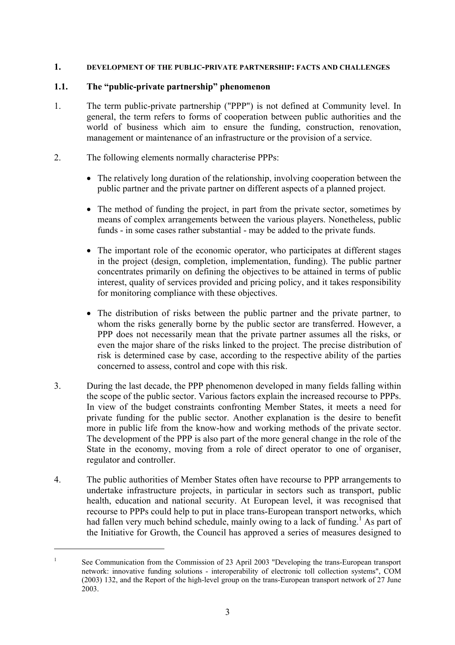#### **1. DEVELOPMENT OF THE PUBLIC-PRIVATE PARTNERSHIP: FACTS AND CHALLENGES**

#### **1.1. The "public-private partnership" phenomenon**

- 1. The term public-private partnership ("PPP") is not defined at Community level. In general, the term refers to forms of cooperation between public authorities and the world of business which aim to ensure the funding, construction, renovation, management or maintenance of an infrastructure or the provision of a service.
- 2. The following elements normally characterise PPPs:
	- The relatively long duration of the relationship, involving cooperation between the public partner and the private partner on different aspects of a planned project.
	- The method of funding the project, in part from the private sector, sometimes by means of complex arrangements between the various players. Nonetheless, public funds - in some cases rather substantial - may be added to the private funds.
	- The important role of the economic operator, who participates at different stages in the project (design, completion, implementation, funding). The public partner concentrates primarily on defining the objectives to be attained in terms of public interest, quality of services provided and pricing policy, and it takes responsibility for monitoring compliance with these objectives.
	- The distribution of risks between the public partner and the private partner, to whom the risks generally borne by the public sector are transferred. However, a PPP does not necessarily mean that the private partner assumes all the risks, or even the major share of the risks linked to the project. The precise distribution of risk is determined case by case, according to the respective ability of the parties concerned to assess, control and cope with this risk.
- 3. During the last decade, the PPP phenomenon developed in many fields falling within the scope of the public sector. Various factors explain the increased recourse to PPPs. In view of the budget constraints confronting Member States, it meets a need for private funding for the public sector. Another explanation is the desire to benefit more in public life from the know-how and working methods of the private sector. The development of the PPP is also part of the more general change in the role of the State in the economy, moving from a role of direct operator to one of organiser, regulator and controller.
- 4. The public authorities of Member States often have recourse to PPP arrangements to undertake infrastructure projects, in particular in sectors such as transport, public health, education and national security. At European level, it was recognised that recourse to PPPs could help to put in place trans-European transport networks, which had fallen very much behind schedule, mainly owing to a lack of funding.<sup>1</sup> As part of the Initiative for Growth, the Council has approved a series of measures designed to

<sup>1</sup> See Communication from the Commission of 23 April 2003 "Developing the trans-European transport network: innovative funding solutions - interoperability of electronic toll collection systems", COM (2003) 132, and the Report of the high-level group on the trans-European transport network of 27 June 2003.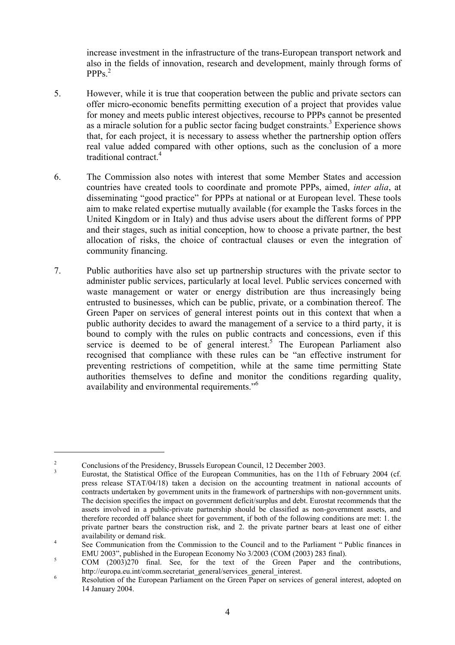increase investment in the infrastructure of the trans-European transport network and also in the fields of innovation, research and development, mainly through forms of  $PPPs.<sup>2</sup>$ 

- 5. However, while it is true that cooperation between the public and private sectors can offer micro-economic benefits permitting execution of a project that provides value for money and meets public interest objectives, recourse to PPPs cannot be presented as a miracle solution for a public sector facing budget constraints.<sup>3</sup> Experience shows that, for each project, it is necessary to assess whether the partnership option offers real value added compared with other options, such as the conclusion of a more traditional contract<sup>4</sup>
- 6. The Commission also notes with interest that some Member States and accession countries have created tools to coordinate and promote PPPs, aimed, *inter alia*, at disseminating "good practice" for PPPs at national or at European level. These tools aim to make related expertise mutually available (for example the Tasks forces in the United Kingdom or in Italy) and thus advise users about the different forms of PPP and their stages, such as initial conception, how to choose a private partner, the best allocation of risks, the choice of contractual clauses or even the integration of community financing.
- 7. Public authorities have also set up partnership structures with the private sector to administer public services, particularly at local level. Public services concerned with waste management or water or energy distribution are thus increasingly being entrusted to businesses, which can be public, private, or a combination thereof. The Green Paper on services of general interest points out in this context that when a public authority decides to award the management of a service to a third party, it is bound to comply with the rules on public contracts and concessions, even if this service is deemed to be of general interest.<sup>5</sup> The European Parliament also recognised that compliance with these rules can be "an effective instrument for preventing restrictions of competition, while at the same time permitting State authorities themselves to define and monitor the conditions regarding quality, availability and environmental requirements."<sup>6</sup>

<sup>2</sup>  $\frac{2}{3}$  Conclusions of the Presidency, Brussels European Council, 12 December 2003.

Eurostat, the Statistical Office of the European Communities, has on the 11th of February 2004 (cf. press release STAT/04/18) taken a decision on the accounting treatment in national accounts of contracts undertaken by government units in the framework of partnerships with non-government units. The decision specifies the impact on government deficit/surplus and debt. Eurostat recommends that the assets involved in a public-private partnership should be classified as non-government assets, and therefore recorded off balance sheet for government, if both of the following conditions are met: 1. the private partner bears the construction risk, and 2. the private partner bears at least one of either  $a$ vailability or demand risk.

See Communication from the Commission to the Council and to the Parliament " Public finances in EMU 2003", published in the European Economy No  $3/2003$  (COM (2003) 283 final).

COM (2003)270 final. See, for the text of the Green Paper and the contributions, http://europa.eu.int/comm.secretariat\_general/services\_general\_interest. 6

Resolution of the European Parliament on the Green Paper on services of general interest, adopted on 14 January 2004.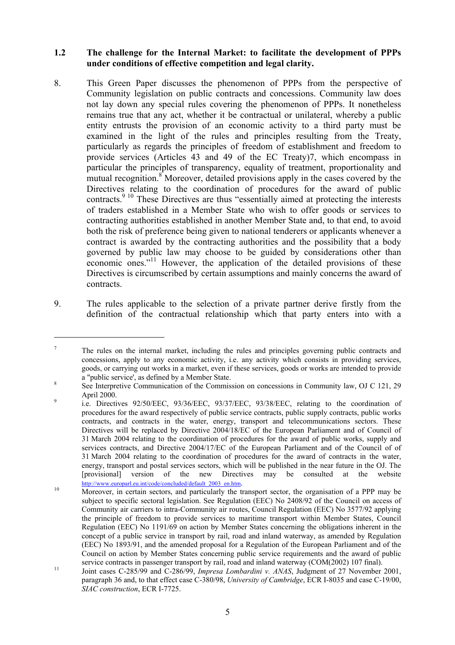#### **1.2 The challenge for the Internal Market: to facilitate the development of PPPs under conditions of effective competition and legal clarity.**

- 8. This Green Paper discusses the phenomenon of PPPs from the perspective of Community legislation on public contracts and concessions. Community law does not lay down any special rules covering the phenomenon of PPPs. It nonetheless remains true that any act, whether it be contractual or unilateral, whereby a public entity entrusts the provision of an economic activity to a third party must be examined in the light of the rules and principles resulting from the Treaty, particularly as regards the principles of freedom of establishment and freedom to provide services (Articles 43 and 49 of the EC Treaty)7, which encompass in particular the principles of transparency, equality of treatment, proportionality and mutual recognition.<sup>8</sup> Moreover, detailed provisions apply in the cases covered by the Directives relating to the coordination of procedures for the award of public contracts.<sup>9 10</sup> These Directives are thus "essentially aimed at protecting the interests" of traders established in a Member State who wish to offer goods or services to contracting authorities established in another Member State and, to that end, to avoid both the risk of preference being given to national tenderers or applicants whenever a contract is awarded by the contracting authorities and the possibility that a body governed by public law may choose to be guided by considerations other than economic ones."<sup>11</sup> However, the application of the detailed provisions of these Directives is circumscribed by certain assumptions and mainly concerns the award of contracts.
- 9. The rules applicable to the selection of a private partner derive firstly from the definition of the contractual relationship which that party enters into with a

<sup>7</sup> The rules on the internal market, including the rules and principles governing public contracts and concessions, apply to any economic activity, i.e. any activity which consists in providing services, goods, or carrying out works in a market, even if these services, goods or works are intended to provide a "public service', as defined by a Member State.

See Interpretive Communication of the Commission on concessions in Community law, OJ C 121, 29  $\text{April } 2000.$ 

i.e. Directives 92/50/EEC, 93/36/EEC, 93/37/EEC, 93/38/EEC, relating to the coordination of procedures for the award respectively of public service contracts, public supply contracts, public works contracts, and contracts in the water, energy, transport and telecommunications sectors. These Directives will be replaced by Directive 2004/18/EC of the European Parliament and of Council of 31 March 2004 relating to the coordination of procedures for the award of public works, supply and services contracts, and Directive 2004/17/EC of the European Parliament and of the Council of of 31 March 2004 relating to the coordination of procedures for the award of contracts in the water, energy, transport and postal services sectors, which will be published in the near future in the OJ. The [provisional] version of the new Directives may be consulted at the website http://www.europarl.eu.int/code/concluded/default\_2003\_en.htm.<br>Moreover, in certain sectors, and particularly the transport sector, the organisation of a PPP may be

subject to specific sectoral legislation. See Regulation (EEC) No 2408/92 of the Council on access of Community air carriers to intra-Community air routes, Council Regulation (EEC) No 3577/92 applying the principle of freedom to provide services to maritime transport within Member States, Council Regulation (EEC) No 1191/69 on action by Member States concerning the obligations inherent in the concept of a public service in transport by rail, road and inland waterway, as amended by Regulation (EEC) No 1893/91, and the amended proposal for a Regulation of the European Parliament and of the Council on action by Member States concerning public service requirements and the award of public

service contracts in passenger transport by rail, road and inland waterway (COM(2002) 107 final).<br>
11 Joint cases C-285/99 and C-286/99, *Impresa Lombardini v. ANAS*, Judgment of 27 November 2001, paragraph 36 and, to that effect case C-380/98, *University of Cambridge*, ECR I-8035 and case C-19/00, *SIAC construction*, ECR I-7725.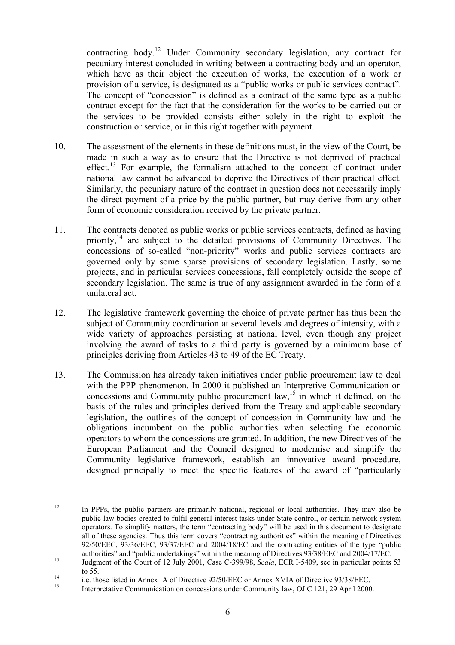contracting body.12 Under Community secondary legislation, any contract for pecuniary interest concluded in writing between a contracting body and an operator, which have as their object the execution of works, the execution of a work or provision of a service, is designated as a "public works or public services contract". The concept of "concession" is defined as a contract of the same type as a public contract except for the fact that the consideration for the works to be carried out or the services to be provided consists either solely in the right to exploit the construction or service, or in this right together with payment.

- 10. The assessment of the elements in these definitions must, in the view of the Court, be made in such a way as to ensure that the Directive is not deprived of practical effect.<sup>13</sup> For example, the formalism attached to the concept of contract under national law cannot be advanced to deprive the Directives of their practical effect. Similarly, the pecuniary nature of the contract in question does not necessarily imply the direct payment of a price by the public partner, but may derive from any other form of economic consideration received by the private partner.
- 11. The contracts denoted as public works or public services contracts, defined as having priority,<sup>14</sup> are subject to the detailed provisions of Community Directives. The concessions of so-called "non-priority" works and public services contracts are governed only by some sparse provisions of secondary legislation. Lastly, some projects, and in particular services concessions, fall completely outside the scope of secondary legislation. The same is true of any assignment awarded in the form of a unilateral act.
- 12. The legislative framework governing the choice of private partner has thus been the subject of Community coordination at several levels and degrees of intensity, with a wide variety of approaches persisting at national level, even though any project involving the award of tasks to a third party is governed by a minimum base of principles deriving from Articles 43 to 49 of the EC Treaty.
- 13. The Commission has already taken initiatives under public procurement law to deal with the PPP phenomenon. In 2000 it published an Interpretive Communication on concessions and Community public procurement law,<sup>15</sup> in which it defined, on the basis of the rules and principles derived from the Treaty and applicable secondary legislation, the outlines of the concept of concession in Community law and the obligations incumbent on the public authorities when selecting the economic operators to whom the concessions are granted. In addition, the new Directives of the European Parliament and the Council designed to modernise and simplify the Community legislative framework, establish an innovative award procedure, designed principally to meet the specific features of the award of "particularly

 $12$  In PPPs, the public partners are primarily national, regional or local authorities. They may also be public law bodies created to fulfil general interest tasks under State control, or certain network system operators. To simplify matters, the term "contracting body" will be used in this document to designate all of these agencies. Thus this term covers "contracting authorities" within the meaning of Directives 92/50/EEC, 93/36/EEC, 93/37/EEC and 2004/18/EC and the contracting entities of the type "public authorities" and "public undertakings" within the meaning of Directives 93/38/EEC and 2004/17/EC.

authorities" and "public undertakings" within the meaning of Directives 93/38/EEC and 2004/17/EC.<br>13 Judgment of the Court of 12 July 2001, Case C-399/98, *Scala*, ECR I-5409, see in particular points 53 to 55.<br>
14 i.e. those listed in Annex IA of Directive 92/50/EEC or Annex XVIA of Directive 93/38/EEC.<br>
15 Interpretative Communication on concessions under Community law, OJ C 121, 29 April 2000.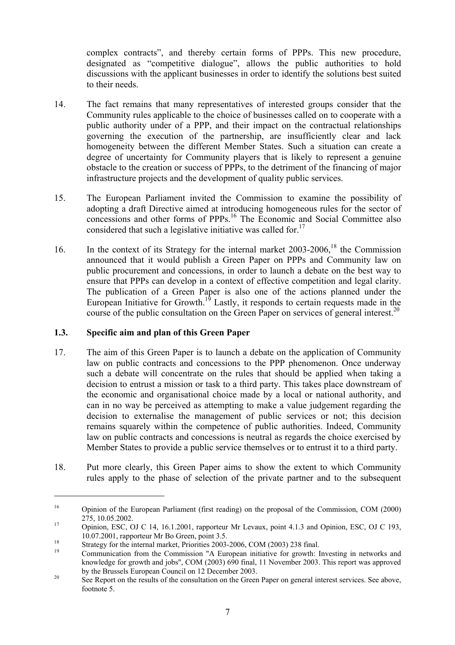complex contracts", and thereby certain forms of PPPs. This new procedure, designated as "competitive dialogue", allows the public authorities to hold discussions with the applicant businesses in order to identify the solutions best suited to their needs.

- 14. The fact remains that many representatives of interested groups consider that the Community rules applicable to the choice of businesses called on to cooperate with a public authority under of a PPP, and their impact on the contractual relationships governing the execution of the partnership, are insufficiently clear and lack homogeneity between the different Member States. Such a situation can create a degree of uncertainty for Community players that is likely to represent a genuine obstacle to the creation or success of PPPs, to the detriment of the financing of major infrastructure projects and the development of quality public services.
- 15. The European Parliament invited the Commission to examine the possibility of adopting a draft Directive aimed at introducing homogeneous rules for the sector of concessions and other forms of PPPs.16 The Economic and Social Committee also considered that such a legislative initiative was called for.<sup>17</sup>
- 16. In the context of its Strategy for the internal market 2003-2006,18 the Commission announced that it would publish a Green Paper on PPPs and Community law on public procurement and concessions, in order to launch a debate on the best way to ensure that PPPs can develop in a context of effective competition and legal clarity. The publication of a Green Paper is also one of the actions planned under the European Initiative for Growth.<sup>19</sup> Lastly, it responds to certain requests made in the course of the public consultation on the Green Paper on services of general interest.<sup>20</sup>

## **1.3. Specific aim and plan of this Green Paper**

- 17. The aim of this Green Paper is to launch a debate on the application of Community law on public contracts and concessions to the PPP phenomenon. Once underway such a debate will concentrate on the rules that should be applied when taking a decision to entrust a mission or task to a third party. This takes place downstream of the economic and organisational choice made by a local or national authority, and can in no way be perceived as attempting to make a value judgement regarding the decision to externalise the management of public services or not; this decision remains squarely within the competence of public authorities. Indeed, Community law on public contracts and concessions is neutral as regards the choice exercised by Member States to provide a public service themselves or to entrust it to a third party.
- 18. Put more clearly, this Green Paper aims to show the extent to which Community rules apply to the phase of selection of the private partner and to the subsequent

<sup>16</sup> Opinion of the European Parliament (first reading) on the proposal of the Commission, COM (2000) 275, 10.05.2002.<br>
17 Opinion, ESC, OJ C 14, 16.1.2001, rapporteur Mr Levaux, point 4.1.3 and Opinion, ESC, OJ C 193,

<sup>10.07.2001,</sup> rapporteur Mr Bo Green, point 3.5.<br>
Strategy for the internal market, Priorities 2003-2006, COM (2003) 238 final.

<sup>19</sup> Communication from the Commission "A European initiative for growth: Investing in networks and knowledge for growth and jobs", COM (2003) 690 final, 11 November 2003. This report was approved

by the Brussels European Council on 12 December 2003.<br>See Report on the results of the consultation on the Green Paper on general interest services. See above, footnote 5.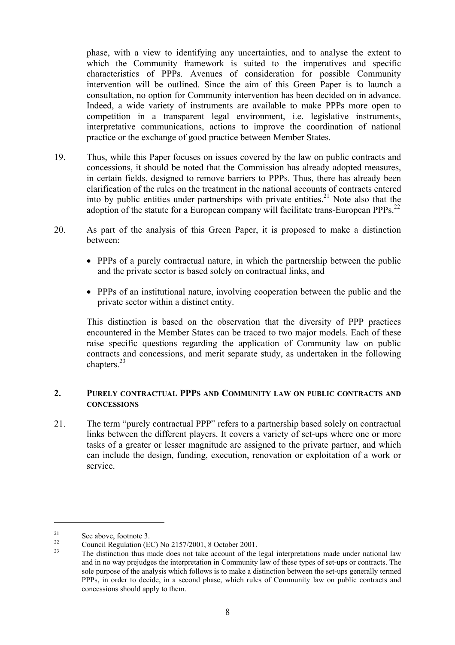phase, with a view to identifying any uncertainties, and to analyse the extent to which the Community framework is suited to the imperatives and specific characteristics of PPPs. Avenues of consideration for possible Community intervention will be outlined. Since the aim of this Green Paper is to launch a consultation, no option for Community intervention has been decided on in advance. Indeed, a wide variety of instruments are available to make PPPs more open to competition in a transparent legal environment, i.e. legislative instruments, interpretative communications, actions to improve the coordination of national practice or the exchange of good practice between Member States.

- 19. Thus, while this Paper focuses on issues covered by the law on public contracts and concessions, it should be noted that the Commission has already adopted measures, in certain fields, designed to remove barriers to PPPs. Thus, there has already been clarification of the rules on the treatment in the national accounts of contracts entered into by public entities under partnerships with private entities.<sup>21</sup> Note also that the adoption of the statute for a European company will facilitate trans-European PPPs.<sup>22</sup>
- 20. As part of the analysis of this Green Paper, it is proposed to make a distinction between:
	- PPPs of a purely contractual nature, in which the partnership between the public and the private sector is based solely on contractual links, and
	- PPPs of an institutional nature, involving cooperation between the public and the private sector within a distinct entity.

This distinction is based on the observation that the diversity of PPP practices encountered in the Member States can be traced to two major models. Each of these raise specific questions regarding the application of Community law on public contracts and concessions, and merit separate study, as undertaken in the following chapters.23

#### **2. PURELY CONTRACTUAL PPPS AND COMMUNITY LAW ON PUBLIC CONTRACTS AND CONCESSIONS**

21. The term "purely contractual PPP" refers to a partnership based solely on contractual links between the different players. It covers a variety of set-ups where one or more tasks of a greater or lesser magnitude are assigned to the private partner, and which can include the design, funding, execution, renovation or exploitation of a work or service.

<sup>&</sup>lt;sup>21</sup> See above, footnote 3.<br>  $\frac{22}{2}$  See above, footnote 3.

<sup>&</sup>lt;sup>22</sup> Council Regulation (EC) No 2157/2001, 8 October 2001.

The distinction thus made does not take account of the legal interpretations made under national law and in no way prejudges the interpretation in Community law of these types of set-ups or contracts. The sole purpose of the analysis which follows is to make a distinction between the set-ups generally termed PPPs, in order to decide, in a second phase, which rules of Community law on public contracts and concessions should apply to them.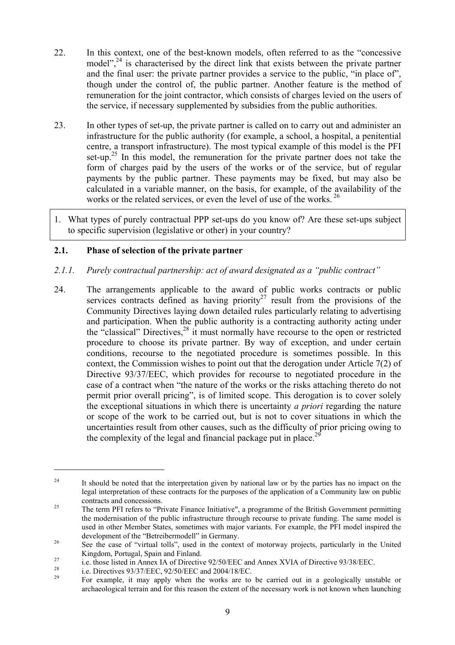- 22. In this context, one of the best-known models, often referred to as the "concessive model", $^{24}$  is characterised by the direct link that exists between the private partner and the final user: the private partner provides a service to the public, "in place of", though under the control of, the public partner. Another feature is the method of remuneration for the joint contractor, which consists of charges levied on the users of the service, if necessary supplemented by subsidies from the public authorities.
- 23. In other types of set-up, the private partner is called on to carry out and administer an infrastructure for the public authority (for example, a school, a hospital, a penitential centre, a transport infrastructure). The most typical example of this model is the PFI set-up.<sup>25</sup> In this model, the remuneration for the private partner does not take the form of charges paid by the users of the works or of the service, but of regular payments by the public partner. These payments may be fixed, but may also be calculated in a variable manner, on the basis, for example, of the availability of the works or the related services, or even the level of use of the works.<sup>26</sup>
- 1. What types of purely contractual PPP set-ups do you know of? Are these set-ups subject to specific supervision (legislative or other) in your country?

# **2.1. Phase of selection of the private partner**

- *2.1.1. Purely contractual partnership: act of award designated as a "public contract"*
- 24. The arrangements applicable to the award of public works contracts or public services contracts defined as having priority<sup>27</sup> result from the provisions of the Community Directives laying down detailed rules particularly relating to advertising and participation. When the public authority is a contracting authority acting under the "classical" Directives,<sup>28</sup> it must normally have recourse to the open or restricted procedure to choose its private partner. By way of exception, and under certain conditions, recourse to the negotiated procedure is sometimes possible. In this context, the Commission wishes to point out that the derogation under Article 7(2) of Directive 93/37/EEC, which provides for recourse to negotiated procedure in the case of a contract when "the nature of the works or the risks attaching thereto do not permit prior overall pricing", is of limited scope. This derogation is to cover solely the exceptional situations in which there is uncertainty *a priori* regarding the nature or scope of the work to be carried out, but is not to cover situations in which the uncertainties result from other causes, such as the difficulty of prior pricing owing to the complexity of the legal and financial package put in place.<sup>29</sup>

<sup>&</sup>lt;sup>24</sup> It should be noted that the interpretation given by national law or by the parties has no impact on the legal interpretation of these contracts for the purposes of the application of a Community law on public contracts and concessions. 25 The term PFI refers to "Private Finance Initiative", a programme of the British Government permitting

the modernisation of the public infrastructure through recourse to private funding. The same model is used in other Member States, sometimes with major variants. For example, the PFI model inspired the development of the "Betreibermodell" in Germany.<br>
<sup>26</sup> See the case of "virtual tolls", used in the context of motorway projects, particularly in the United

Kingdom, Portugal, Spain and Finland.<br>
<sup>27</sup> i.e. those listed in Annex IA of Directive 92/50/EEC and Annex XVIA of Directive 93/38/EEC.

<sup>&</sup>lt;sup>28</sup> i.e. Directives 93/37/EEC, 92/50/EEC and 2004/18/EC.

<sup>29</sup> For example, it may apply when the works are to be carried out in a geologically unstable or archaeological terrain and for this reason the extent of the necessary work is not known when launching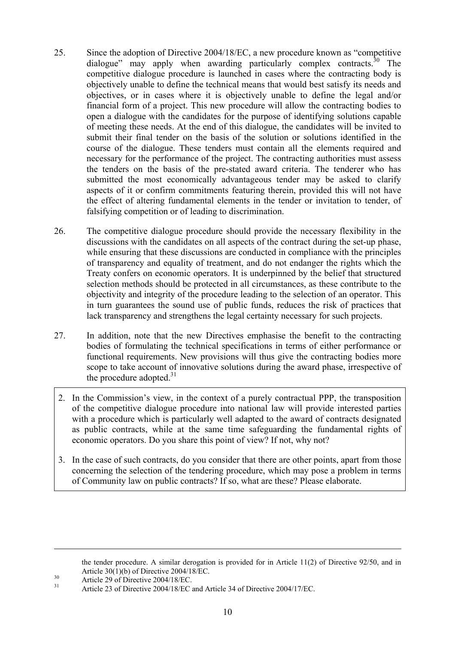- 25. Since the adoption of Directive 2004/18/EC, a new procedure known as "competitive dialogue" may apply when awarding particularly complex contracts.<sup>30</sup> The competitive dialogue procedure is launched in cases where the contracting body is objectively unable to define the technical means that would best satisfy its needs and objectives, or in cases where it is objectively unable to define the legal and/or financial form of a project. This new procedure will allow the contracting bodies to open a dialogue with the candidates for the purpose of identifying solutions capable of meeting these needs. At the end of this dialogue, the candidates will be invited to submit their final tender on the basis of the solution or solutions identified in the course of the dialogue. These tenders must contain all the elements required and necessary for the performance of the project. The contracting authorities must assess the tenders on the basis of the pre-stated award criteria. The tenderer who has submitted the most economically advantageous tender may be asked to clarify aspects of it or confirm commitments featuring therein, provided this will not have the effect of altering fundamental elements in the tender or invitation to tender, of falsifying competition or of leading to discrimination.
- 26. The competitive dialogue procedure should provide the necessary flexibility in the discussions with the candidates on all aspects of the contract during the set-up phase, while ensuring that these discussions are conducted in compliance with the principles of transparency and equality of treatment, and do not endanger the rights which the Treaty confers on economic operators. It is underpinned by the belief that structured selection methods should be protected in all circumstances, as these contribute to the objectivity and integrity of the procedure leading to the selection of an operator. This in turn guarantees the sound use of public funds, reduces the risk of practices that lack transparency and strengthens the legal certainty necessary for such projects.
- 27. In addition, note that the new Directives emphasise the benefit to the contracting bodies of formulating the technical specifications in terms of either performance or functional requirements. New provisions will thus give the contracting bodies more scope to take account of innovative solutions during the award phase, irrespective of the procedure adopted. $31$
- 2. In the Commission's view, in the context of a purely contractual PPP, the transposition of the competitive dialogue procedure into national law will provide interested parties with a procedure which is particularly well adapted to the award of contracts designated as public contracts, while at the same time safeguarding the fundamental rights of economic operators. Do you share this point of view? If not, why not?
- 3. In the case of such contracts, do you consider that there are other points, apart from those concerning the selection of the tendering procedure, which may pose a problem in terms of Community law on public contracts? If so, what are these? Please elaborate.

Article 30(1)(b) of Directive 2004/18/EC.<br>
Article 29 of Directive 2004/18/EC.

the tender procedure. A similar derogation is provided for in Article 11(2) of Directive 92/50, and in

Article 23 of Directive 2004/18/EC and Article 34 of Directive 2004/17/EC.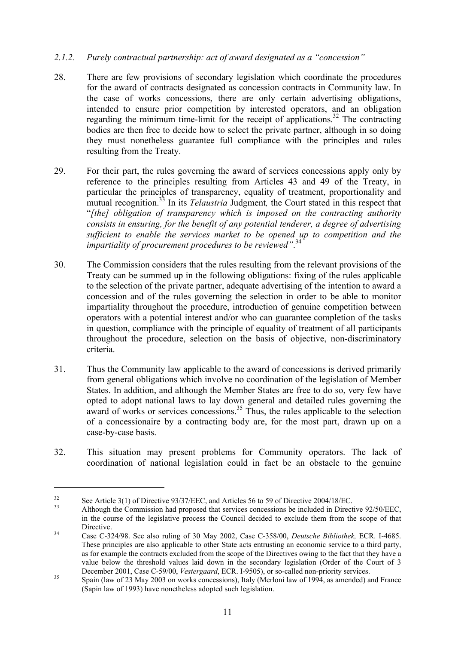## *2.1.2. Purely contractual partnership: act of award designated as a "concession"*

- 28. There are few provisions of secondary legislation which coordinate the procedures for the award of contracts designated as concession contracts in Community law. In the case of works concessions, there are only certain advertising obligations, intended to ensure prior competition by interested operators, and an obligation regarding the minimum time-limit for the receipt of applications.<sup>32</sup> The contracting bodies are then free to decide how to select the private partner, although in so doing they must nonetheless guarantee full compliance with the principles and rules resulting from the Treaty.
- 29. For their part, the rules governing the award of services concessions apply only by reference to the principles resulting from Articles 43 and 49 of the Treaty, in particular the principles of transparency, equality of treatment, proportionality and mutual recognition.<sup>33</sup> In its *Telaustria* Judgment, the Court stated in this respect that "*[the] obligation of transparency which is imposed on the contracting authority consists in ensuring, for the benefit of any potential tenderer, a degree of advertising sufficient to enable the services market to be opened up to competition and the impartiality of procurement procedures to be reviewed"*. 34
- 30. The Commission considers that the rules resulting from the relevant provisions of the Treaty can be summed up in the following obligations: fixing of the rules applicable to the selection of the private partner, adequate advertising of the intention to award a concession and of the rules governing the selection in order to be able to monitor impartiality throughout the procedure, introduction of genuine competition between operators with a potential interest and/or who can guarantee completion of the tasks in question, compliance with the principle of equality of treatment of all participants throughout the procedure, selection on the basis of objective, non-discriminatory criteria.
- 31. Thus the Community law applicable to the award of concessions is derived primarily from general obligations which involve no coordination of the legislation of Member States. In addition, and although the Member States are free to do so, very few have opted to adopt national laws to lay down general and detailed rules governing the award of works or services concessions.<sup>35</sup> Thus, the rules applicable to the selection of a concessionaire by a contracting body are, for the most part, drawn up on a case-by-case basis.
- 32. This situation may present problems for Community operators. The lack of coordination of national legislation could in fact be an obstacle to the genuine

<sup>&</sup>lt;sup>32</sup> See Article 3(1) of Directive 93/37/EEC, and Articles 56 to 59 of Directive 2004/18/EC.<br><sup>33</sup> Although the Commission had proposed that services concessions be included in Directive 92/50/EEC.

in the course of the legislative process the Council decided to exclude them from the scope of that Directive. 34 Case C-324/98. See also ruling of 30 May 2002, Case C-358/00, *Deutsche Bibliothek,* ECR. I-4685.

These principles are also applicable to other State acts entrusting an economic service to a third party, as for example the contracts excluded from the scope of the Directives owing to the fact that they have a value below the threshold values laid down in the secondary legislation (Order of the Court of 3<br>December 2001, Case C-59/00, Vestergaard, ECR. I-9505), or so-called non-priority services.

December 2001, Case C-59/00, *Vestergaard*, ECR. I-9505), or so-called non-priority services. 35 Spain (law of 23 May 2003 on works concessions), Italy (Merloni law of 1994, as amended) and France (Sapin law of 1993) have nonetheless adopted such legislation.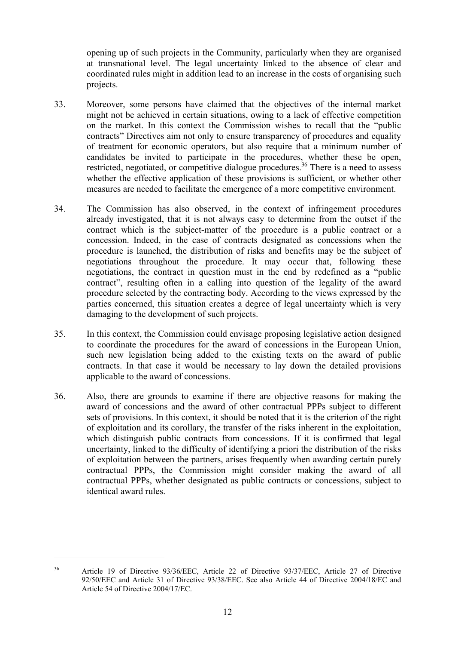opening up of such projects in the Community, particularly when they are organised at transnational level. The legal uncertainty linked to the absence of clear and coordinated rules might in addition lead to an increase in the costs of organising such projects.

- 33. Moreover, some persons have claimed that the objectives of the internal market might not be achieved in certain situations, owing to a lack of effective competition on the market. In this context the Commission wishes to recall that the "public contracts" Directives aim not only to ensure transparency of procedures and equality of treatment for economic operators, but also require that a minimum number of candidates be invited to participate in the procedures, whether these be open, restricted, negotiated, or competitive dialogue procedures.<sup>36</sup> There is a need to assess whether the effective application of these provisions is sufficient, or whether other measures are needed to facilitate the emergence of a more competitive environment.
- 34. The Commission has also observed, in the context of infringement procedures already investigated, that it is not always easy to determine from the outset if the contract which is the subject-matter of the procedure is a public contract or a concession. Indeed, in the case of contracts designated as concessions when the procedure is launched, the distribution of risks and benefits may be the subject of negotiations throughout the procedure. It may occur that, following these negotiations, the contract in question must in the end by redefined as a "public contract", resulting often in a calling into question of the legality of the award procedure selected by the contracting body. According to the views expressed by the parties concerned, this situation creates a degree of legal uncertainty which is very damaging to the development of such projects.
- 35. In this context, the Commission could envisage proposing legislative action designed to coordinate the procedures for the award of concessions in the European Union, such new legislation being added to the existing texts on the award of public contracts. In that case it would be necessary to lay down the detailed provisions applicable to the award of concessions.
- 36. Also, there are grounds to examine if there are objective reasons for making the award of concessions and the award of other contractual PPPs subject to different sets of provisions. In this context, it should be noted that it is the criterion of the right of exploitation and its corollary, the transfer of the risks inherent in the exploitation, which distinguish public contracts from concessions. If it is confirmed that legal uncertainty, linked to the difficulty of identifying a priori the distribution of the risks of exploitation between the partners, arises frequently when awarding certain purely contractual PPPs, the Commission might consider making the award of all contractual PPPs, whether designated as public contracts or concessions, subject to identical award rules.

<sup>36</sup> Article 19 of Directive 93/36/EEC, Article 22 of Directive 93/37/EEC, Article 27 of Directive 92/50/EEC and Article 31 of Directive 93/38/EEC. See also Article 44 of Directive 2004/18/EC and Article 54 of Directive 2004/17/EC.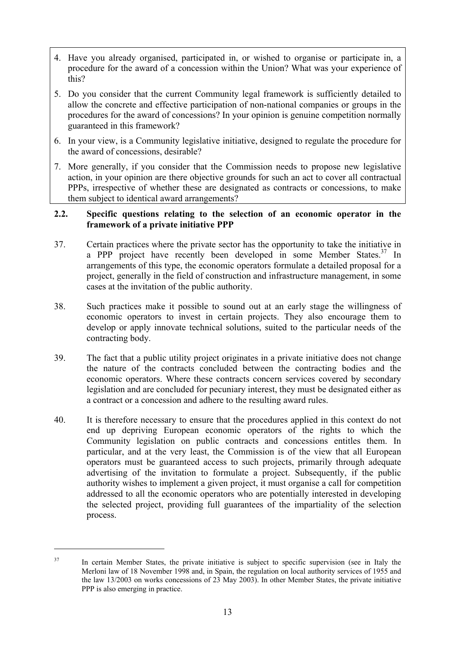- 4. Have you already organised, participated in, or wished to organise or participate in, a procedure for the award of a concession within the Union? What was your experience of this?
- 5. Do you consider that the current Community legal framework is sufficiently detailed to allow the concrete and effective participation of non-national companies or groups in the procedures for the award of concessions? In your opinion is genuine competition normally guaranteed in this framework?
- 6. In your view, is a Community legislative initiative, designed to regulate the procedure for the award of concessions, desirable?
- 7. More generally, if you consider that the Commission needs to propose new legislative action, in your opinion are there objective grounds for such an act to cover all contractual PPPs, irrespective of whether these are designated as contracts or concessions, to make them subject to identical award arrangements?

#### **2.2. Specific questions relating to the selection of an economic operator in the framework of a private initiative PPP**

- 37. Certain practices where the private sector has the opportunity to take the initiative in a PPP project have recently been developed in some Member States.<sup>37</sup> In arrangements of this type, the economic operators formulate a detailed proposal for a project, generally in the field of construction and infrastructure management, in some cases at the invitation of the public authority.
- 38. Such practices make it possible to sound out at an early stage the willingness of economic operators to invest in certain projects. They also encourage them to develop or apply innovate technical solutions, suited to the particular needs of the contracting body.
- 39. The fact that a public utility project originates in a private initiative does not change the nature of the contracts concluded between the contracting bodies and the economic operators. Where these contracts concern services covered by secondary legislation and are concluded for pecuniary interest, they must be designated either as a contract or a concession and adhere to the resulting award rules.
- 40. It is therefore necessary to ensure that the procedures applied in this context do not end up depriving European economic operators of the rights to which the Community legislation on public contracts and concessions entitles them. In particular, and at the very least, the Commission is of the view that all European operators must be guaranteed access to such projects, primarily through adequate advertising of the invitation to formulate a project. Subsequently, if the public authority wishes to implement a given project, it must organise a call for competition addressed to all the economic operators who are potentially interested in developing the selected project, providing full guarantees of the impartiality of the selection process.

<sup>&</sup>lt;sup>37</sup> In certain Member States, the private initiative is subject to specific supervision (see in Italy the Merloni law of 18 November 1998 and, in Spain, the regulation on local authority services of 1955 and the law 13/2003 on works concessions of 23 May 2003). In other Member States, the private initiative PPP is also emerging in practice.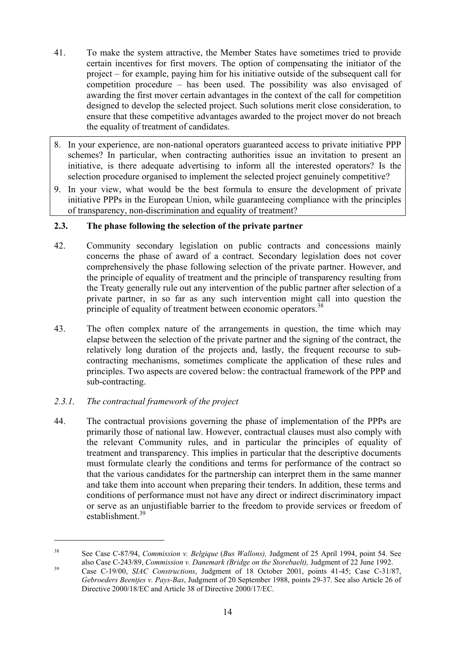- 41. To make the system attractive, the Member States have sometimes tried to provide certain incentives for first movers. The option of compensating the initiator of the project – for example, paying him for his initiative outside of the subsequent call for competition procedure – has been used. The possibility was also envisaged of awarding the first mover certain advantages in the context of the call for competition designed to develop the selected project. Such solutions merit close consideration, to ensure that these competitive advantages awarded to the project mover do not breach the equality of treatment of candidates.
- 8. In your experience, are non-national operators guaranteed access to private initiative PPP schemes? In particular, when contracting authorities issue an invitation to present an initiative, is there adequate advertising to inform all the interested operators? Is the selection procedure organised to implement the selected project genuinely competitive?
- 9. In your view, what would be the best formula to ensure the development of private initiative PPPs in the European Union, while guaranteeing compliance with the principles of transparency, non-discrimination and equality of treatment?

# **2.3. The phase following the selection of the private partner**

- 42. Community secondary legislation on public contracts and concessions mainly concerns the phase of award of a contract. Secondary legislation does not cover comprehensively the phase following selection of the private partner. However, and the principle of equality of treatment and the principle of transparency resulting from the Treaty generally rule out any intervention of the public partner after selection of a private partner, in so far as any such intervention might call into question the principle of equality of treatment between economic operators.<sup>38</sup>
- 43. The often complex nature of the arrangements in question, the time which may elapse between the selection of the private partner and the signing of the contract, the relatively long duration of the projects and, lastly, the frequent recourse to subcontracting mechanisms, sometimes complicate the application of these rules and principles. Two aspects are covered below: the contractual framework of the PPP and sub-contracting.

# *2.3.1. The contractual framework of the project*

1

44. The contractual provisions governing the phase of implementation of the PPPs are primarily those of national law. However, contractual clauses must also comply with the relevant Community rules, and in particular the principles of equality of treatment and transparency. This implies in particular that the descriptive documents must formulate clearly the conditions and terms for performance of the contract so that the various candidates for the partnership can interpret them in the same manner and take them into account when preparing their tenders. In addition, these terms and conditions of performance must not have any direct or indirect discriminatory impact or serve as an unjustifiable barrier to the freedom to provide services or freedom of establishment.<sup>39</sup>

<sup>38</sup> See Case C-87/94, *Commission v. Belgique* (*Bus Wallons),* Judgment of 25 April 1994, point 54. See

also Case C-243/89, *Commission v. Danemark (Bridge on the Storebaelt),* Judgment of 22 June 1992. 39 Case C-19/00, *SIAC Constructions*, Judgment of 18 October 2001, points 41-45; Case C-31/87, *Gebroeders Beentjes v. Pays-Bas*, Judgment of 20 September 1988, points 29-37. See also Article 26 of Directive 2000/18/EC and Article 38 of Directive 2000/17/EC.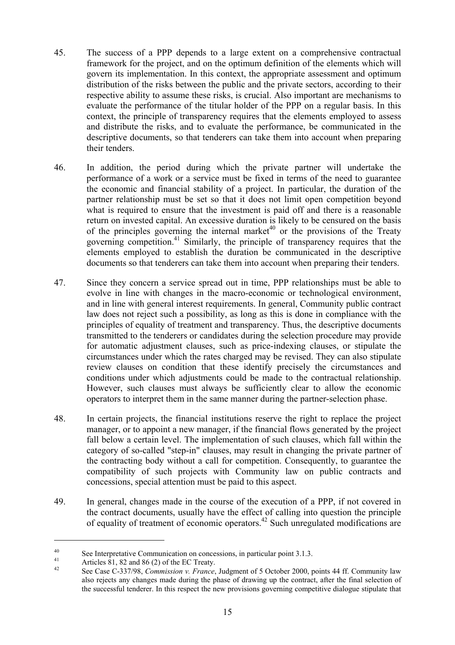- 45. The success of a PPP depends to a large extent on a comprehensive contractual framework for the project, and on the optimum definition of the elements which will govern its implementation. In this context, the appropriate assessment and optimum distribution of the risks between the public and the private sectors, according to their respective ability to assume these risks, is crucial. Also important are mechanisms to evaluate the performance of the titular holder of the PPP on a regular basis. In this context, the principle of transparency requires that the elements employed to assess and distribute the risks, and to evaluate the performance, be communicated in the descriptive documents, so that tenderers can take them into account when preparing their tenders.
- 46. In addition, the period during which the private partner will undertake the performance of a work or a service must be fixed in terms of the need to guarantee the economic and financial stability of a project. In particular, the duration of the partner relationship must be set so that it does not limit open competition beyond what is required to ensure that the investment is paid off and there is a reasonable return on invested capital. An excessive duration is likely to be censured on the basis of the principles governing the internal market<sup>40</sup> or the provisions of the Treaty governing competition.<sup>41</sup> Similarly, the principle of transparency requires that the elements employed to establish the duration be communicated in the descriptive documents so that tenderers can take them into account when preparing their tenders.
- 47. Since they concern a service spread out in time, PPP relationships must be able to evolve in line with changes in the macro-economic or technological environment, and in line with general interest requirements. In general, Community public contract law does not reject such a possibility, as long as this is done in compliance with the principles of equality of treatment and transparency. Thus, the descriptive documents transmitted to the tenderers or candidates during the selection procedure may provide for automatic adjustment clauses, such as price-indexing clauses, or stipulate the circumstances under which the rates charged may be revised. They can also stipulate review clauses on condition that these identify precisely the circumstances and conditions under which adjustments could be made to the contractual relationship. However, such clauses must always be sufficiently clear to allow the economic operators to interpret them in the same manner during the partner-selection phase.
- 48. In certain projects, the financial institutions reserve the right to replace the project manager, or to appoint a new manager, if the financial flows generated by the project fall below a certain level. The implementation of such clauses, which fall within the category of so-called "step-in" clauses, may result in changing the private partner of the contracting body without a call for competition. Consequently, to guarantee the compatibility of such projects with Community law on public contracts and concessions, special attention must be paid to this aspect.
- 49. In general, changes made in the course of the execution of a PPP, if not covered in the contract documents, usually have the effect of calling into question the principle of equality of treatment of economic operators.<sup>42</sup> Such unregulated modifications are

<sup>&</sup>lt;sup>40</sup> See Interpretative Communication on concessions, in particular point 3.1.3.

<sup>41</sup> Articles 81, 82 and 86 (2) of the EC Treaty.

See Case C-337/98, *Commission v. France*, Judgment of 5 October 2000, points 44 ff. Community law also rejects any changes made during the phase of drawing up the contract, after the final selection of the successful tenderer. In this respect the new provisions governing competitive dialogue stipulate that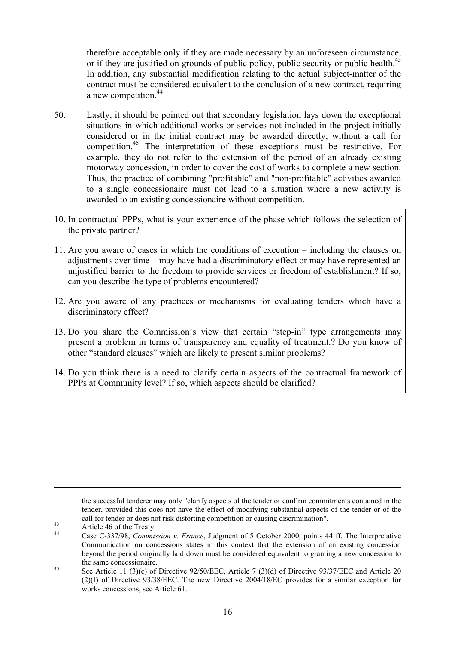therefore acceptable only if they are made necessary by an unforeseen circumstance, or if they are justified on grounds of public policy, public security or public health.<sup>43</sup> In addition, any substantial modification relating to the actual subject-matter of the contract must be considered equivalent to the conclusion of a new contract, requiring a new competition.<sup>44</sup>

- 50. Lastly, it should be pointed out that secondary legislation lays down the exceptional situations in which additional works or services not included in the project initially considered or in the initial contract may be awarded directly, without a call for competition.45 The interpretation of these exceptions must be restrictive. For example, they do not refer to the extension of the period of an already existing motorway concession, in order to cover the cost of works to complete a new section. Thus, the practice of combining "profitable" and "non-profitable" activities awarded to a single concessionaire must not lead to a situation where a new activity is awarded to an existing concessionaire without competition.
- 10. In contractual PPPs, what is your experience of the phase which follows the selection of the private partner?
- 11. Are you aware of cases in which the conditions of execution including the clauses on adjustments over time – may have had a discriminatory effect or may have represented an unjustified barrier to the freedom to provide services or freedom of establishment? If so, can you describe the type of problems encountered?
- 12. Are you aware of any practices or mechanisms for evaluating tenders which have a discriminatory effect?
- 13. Do you share the Commission's view that certain "step-in" type arrangements may present a problem in terms of transparency and equality of treatment.? Do you know of other "standard clauses" which are likely to present similar problems?
- 14. Do you think there is a need to clarify certain aspects of the contractual framework of PPPs at Community level? If so, which aspects should be clarified?

the successful tenderer may only "clarify aspects of the tender or confirm commitments contained in the tender, provided this does not have the effect of modifying substantial aspects of the tender or of the call for tender or does not risk distorting competition or causing discrimination".<br>Article 46 of the Treaty.

<sup>44</sup> Case C-337/98, *Commission v. France*, Judgment of 5 October 2000, points 44 ff. The Interpretative Communication on concessions states in this context that the extension of an existing concession beyond the period originally laid down must be considered equivalent to granting a new concession to

the same concessionaire.<br>
See Article 11 (3)(e) of Directive 92/50/EEC, Article 7 (3)(d) of Directive 93/37/EEC and Article 20 (2)(f) of Directive 93/38/EEC. The new Directive 2004/18/EC provides for a similar exception for works concessions, see Article 61.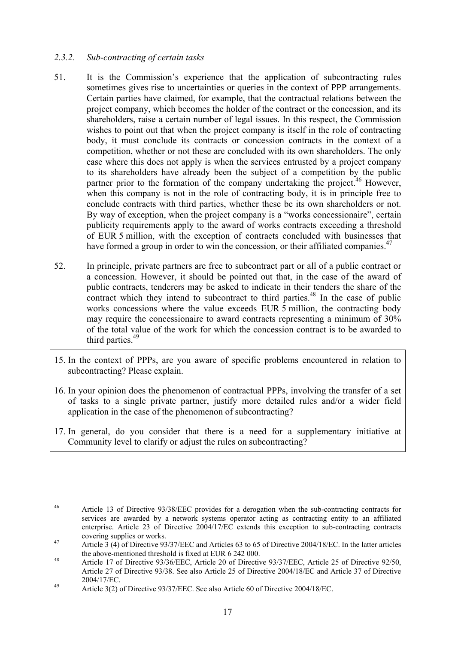### *2.3.2. Sub-contracting of certain tasks*

- 51. It is the Commission's experience that the application of subcontracting rules sometimes gives rise to uncertainties or queries in the context of PPP arrangements. Certain parties have claimed, for example, that the contractual relations between the project company, which becomes the holder of the contract or the concession, and its shareholders, raise a certain number of legal issues. In this respect, the Commission wishes to point out that when the project company is itself in the role of contracting body, it must conclude its contracts or concession contracts in the context of a competition, whether or not these are concluded with its own shareholders. The only case where this does not apply is when the services entrusted by a project company to its shareholders have already been the subject of a competition by the public partner prior to the formation of the company undertaking the project.<sup>46</sup> However, when this company is not in the role of contracting body, it is in principle free to conclude contracts with third parties, whether these be its own shareholders or not. By way of exception, when the project company is a "works concessionaire", certain publicity requirements apply to the award of works contracts exceeding a threshold of EUR 5 million, with the exception of contracts concluded with businesses that have formed a group in order to win the concession, or their affiliated companies.<sup>47</sup>
- 52. In principle, private partners are free to subcontract part or all of a public contract or a concession. However, it should be pointed out that, in the case of the award of public contracts, tenderers may be asked to indicate in their tenders the share of the contract which they intend to subcontract to third parties.<sup>48</sup> In the case of public works concessions where the value exceeds EUR 5 million, the contracting body may require the concessionaire to award contracts representing a minimum of 30% of the total value of the work for which the concession contract is to be awarded to third parties.<sup>49</sup>
- 15. In the context of PPPs, are you aware of specific problems encountered in relation to subcontracting? Please explain.
- 16. In your opinion does the phenomenon of contractual PPPs, involving the transfer of a set of tasks to a single private partner, justify more detailed rules and/or a wider field application in the case of the phenomenon of subcontracting?
- 17. In general, do you consider that there is a need for a supplementary initiative at Community level to clarify or adjust the rules on subcontracting?

<sup>46</sup> Article 13 of Directive 93/38/EEC provides for a derogation when the sub-contracting contracts for services are awarded by a network systems operator acting as contracting entity to an affiliated enterprise. Article 23 of Directive 2004/17/EC extends this exception to sub-contracting contracts covering supplies or works. 47 Article 3 (4) of Directive 93/37/EEC and Articles 63 to 65 of Directive 2004/18/EC. In the latter articles

the above-mentioned threshold is fixed at EUR 6 242 000.<br>Article 17 of Directive 93/36/EEC, Article 20 of Directive 93/37/EEC, Article 25 of Directive 92/50, Article 27 of Directive 93/38. See also Article 25 of Directive 2004/18/EC and Article 37 of Directive

<sup>2004/17/</sup>EC.<br>Article 3(2) of Directive 93/37/EEC. See also Article 60 of Directive 2004/18/EC.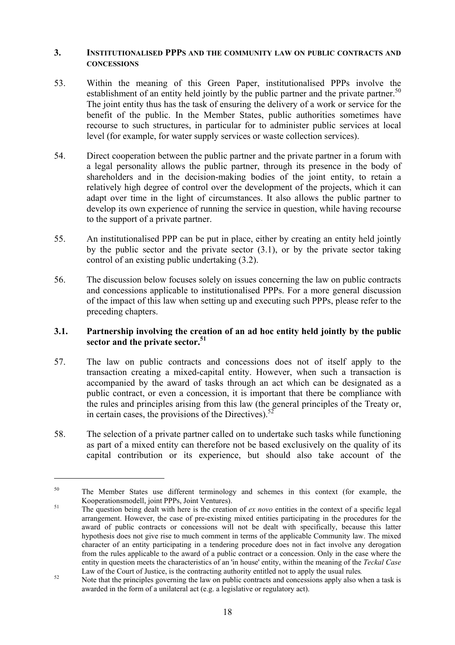#### **3. INSTITUTIONALISED PPPS AND THE COMMUNITY LAW ON PUBLIC CONTRACTS AND CONCESSIONS**

- 53. Within the meaning of this Green Paper, institutionalised PPPs involve the establishment of an entity held jointly by the public partner and the private partner.<sup>50</sup> The joint entity thus has the task of ensuring the delivery of a work or service for the benefit of the public. In the Member States, public authorities sometimes have recourse to such structures, in particular for to administer public services at local level (for example, for water supply services or waste collection services).
- 54. Direct cooperation between the public partner and the private partner in a forum with a legal personality allows the public partner, through its presence in the body of shareholders and in the decision-making bodies of the joint entity, to retain a relatively high degree of control over the development of the projects, which it can adapt over time in the light of circumstances. It also allows the public partner to develop its own experience of running the service in question, while having recourse to the support of a private partner.
- 55. An institutionalised PPP can be put in place, either by creating an entity held jointly by the public sector and the private sector (3.1), or by the private sector taking control of an existing public undertaking (3.2).
- 56. The discussion below focuses solely on issues concerning the law on public contracts and concessions applicable to institutionalised PPPs. For a more general discussion of the impact of this law when setting up and executing such PPPs, please refer to the preceding chapters.

## **3.1. Partnership involving the creation of an ad hoc entity held jointly by the public sector and the private sector.51**

- 57. The law on public contracts and concessions does not of itself apply to the transaction creating a mixed-capital entity. However, when such a transaction is accompanied by the award of tasks through an act which can be designated as a public contract, or even a concession, it is important that there be compliance with the rules and principles arising from this law (the general principles of the Treaty or, in certain cases, the provisions of the Directives).<sup>5</sup>
- 58. The selection of a private partner called on to undertake such tasks while functioning as part of a mixed entity can therefore not be based exclusively on the quality of its capital contribution or its experience, but should also take account of the

<sup>&</sup>lt;sup>50</sup> The Member States use different terminology and schemes in this context (for example, the Kooperationsmodell, joint PPPs, Joint Ventures).<br><sup>51</sup> The question being dealt with here is the creation of *ex novo* entities in the context of a specific legal

arrangement. However, the case of pre-existing mixed entities participating in the procedures for the award of public contracts or concessions will not be dealt with specifically, because this latter hypothesis does not give rise to much comment in terms of the applicable Community law. The mixed character of an entity participating in a tendering procedure does not in fact involve any derogation from the rules applicable to the award of a public contract or a concession. Only in the case where the entity in question meets the characteristics of an 'in house' entity, within the meaning of the *Teckal Case* 

Law of the Court of Justice, is the contracting authority entitled not to apply the usual rules*.* 52 Note that the principles governing the law on public contracts and concessions apply also when a task is awarded in the form of a unilateral act (e.g. a legislative or regulatory act).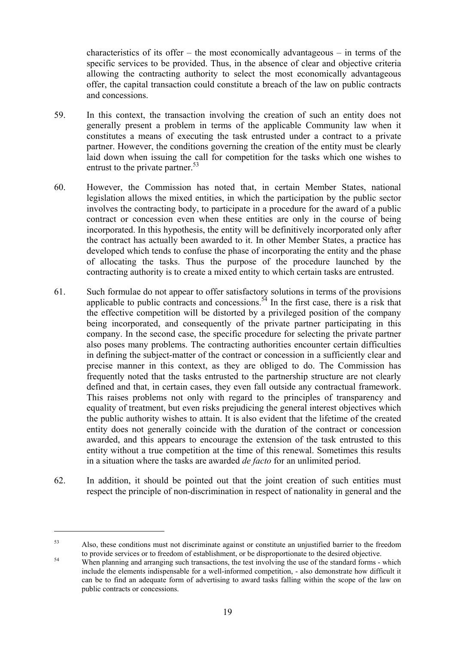characteristics of its offer – the most economically advantageous – in terms of the specific services to be provided. Thus, in the absence of clear and objective criteria allowing the contracting authority to select the most economically advantageous offer, the capital transaction could constitute a breach of the law on public contracts and concessions.

- 59. In this context, the transaction involving the creation of such an entity does not generally present a problem in terms of the applicable Community law when it constitutes a means of executing the task entrusted under a contract to a private partner. However, the conditions governing the creation of the entity must be clearly laid down when issuing the call for competition for the tasks which one wishes to entrust to the private partner.<sup>53</sup>
- 60. However, the Commission has noted that, in certain Member States, national legislation allows the mixed entities, in which the participation by the public sector involves the contracting body, to participate in a procedure for the award of a public contract or concession even when these entities are only in the course of being incorporated. In this hypothesis, the entity will be definitively incorporated only after the contract has actually been awarded to it. In other Member States, a practice has developed which tends to confuse the phase of incorporating the entity and the phase of allocating the tasks. Thus the purpose of the procedure launched by the contracting authority is to create a mixed entity to which certain tasks are entrusted.
- 61. Such formulae do not appear to offer satisfactory solutions in terms of the provisions applicable to public contracts and concessions.<sup>54</sup> In the first case, there is a risk that the effective competition will be distorted by a privileged position of the company being incorporated, and consequently of the private partner participating in this company. In the second case, the specific procedure for selecting the private partner also poses many problems. The contracting authorities encounter certain difficulties in defining the subject-matter of the contract or concession in a sufficiently clear and precise manner in this context, as they are obliged to do. The Commission has frequently noted that the tasks entrusted to the partnership structure are not clearly defined and that, in certain cases, they even fall outside any contractual framework. This raises problems not only with regard to the principles of transparency and equality of treatment, but even risks prejudicing the general interest objectives which the public authority wishes to attain. It is also evident that the lifetime of the created entity does not generally coincide with the duration of the contract or concession awarded, and this appears to encourage the extension of the task entrusted to this entity without a true competition at the time of this renewal. Sometimes this results in a situation where the tasks are awarded *de facto* for an unlimited period.
- 62. In addition, it should be pointed out that the joint creation of such entities must respect the principle of non-discrimination in respect of nationality in general and the

<sup>53</sup> Also, these conditions must not discriminate against or constitute an unjustified barrier to the freedom to provide services or to freedom of establishment, or be disproportionate to the desired objective.<br>When planning and arranging such transactions, the test involving the use of the standard forms - which

include the elements indispensable for a well-informed competition, - also demonstrate how difficult it can be to find an adequate form of advertising to award tasks falling within the scope of the law on public contracts or concessions.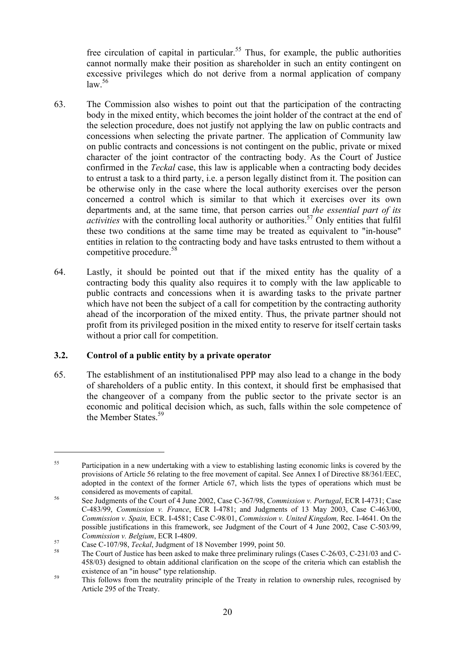free circulation of capital in particular.<sup>55</sup> Thus, for example, the public authorities cannot normally make their position as shareholder in such an entity contingent on excessive privileges which do not derive from a normal application of company  $\frac{1}{2}$ law.  $\frac{56}{2}$ 

- 63. The Commission also wishes to point out that the participation of the contracting body in the mixed entity, which becomes the joint holder of the contract at the end of the selection procedure, does not justify not applying the law on public contracts and concessions when selecting the private partner. The application of Community law on public contracts and concessions is not contingent on the public, private or mixed character of the joint contractor of the contracting body. As the Court of Justice confirmed in the *Teckal* case, this law is applicable when a contracting body decides to entrust a task to a third party, i.e. a person legally distinct from it. The position can be otherwise only in the case where the local authority exercises over the person concerned a control which is similar to that which it exercises over its own departments and, at the same time, that person carries out *the essential part of its activities* with the controlling local authority or authorities.<sup>57</sup> Only entities that fulfil these two conditions at the same time may be treated as equivalent to "in-house" entities in relation to the contracting body and have tasks entrusted to them without a competitive procedure.<sup>58</sup>
- 64. Lastly, it should be pointed out that if the mixed entity has the quality of a contracting body this quality also requires it to comply with the law applicable to public contracts and concessions when it is awarding tasks to the private partner which have not been the subject of a call for competition by the contracting authority ahead of the incorporation of the mixed entity. Thus, the private partner should not profit from its privileged position in the mixed entity to reserve for itself certain tasks without a prior call for competition.

## **3.2. Control of a public entity by a private operator**

1

65. The establishment of an institutionalised PPP may also lead to a change in the body of shareholders of a public entity. In this context, it should first be emphasised that the changeover of a company from the public sector to the private sector is an economic and political decision which, as such, falls within the sole competence of the Member States<sup>59</sup>

<sup>&</sup>lt;sup>55</sup> Participation in a new undertaking with a view to establishing lasting economic links is covered by the provisions of Article 56 relating to the free movement of capital. See Annex I of Directive 88/361/EEC, adopted in the context of the former Article 67, which lists the types of operations which must be considered as movements of capital.<br><sup>56</sup> See Judgments of the Court of 4 June 2002, Case C-367/98, *Commission v. Portugal*, ECR I-4731; Case

C-483/99, *Commission v. France*, ECR I-4781; and Judgments of 13 May 2003, Case C-463/00, *Commission v. Spain,* ECR. I-4581; Case C-98/01, *Commission v. United Kingdom,* Rec. I-4641. On the possible justifications in this framework, see Judgment of the Court of 4 June 2002, Case C-503/99, *Commission v. Belgium*, ECR I-4809.<br>
Case C-107/98, *Teckal*, Judgment of 18 November 1999, point 50.<br>
The Court of Justice has been asked to make three preliminary rulings (Cases C-26/03, C-231/03 and C-

<sup>458/03)</sup> designed to obtain additional clarification on the scope of the criteria which can establish the existence of an "in house" type relationship.<br>
This follows from the neutrality principle of the Treaty in relation to ownership rules, recognised by

Article 295 of the Treaty.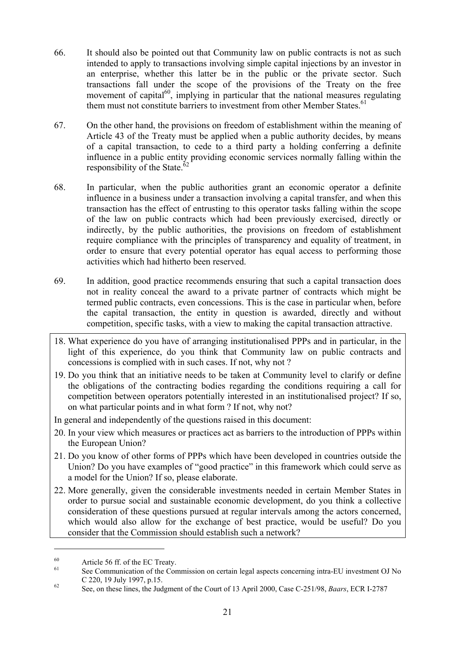- 66. It should also be pointed out that Community law on public contracts is not as such intended to apply to transactions involving simple capital injections by an investor in an enterprise, whether this latter be in the public or the private sector. Such transactions fall under the scope of the provisions of the Treaty on the free movement of capital $^{60}$ , implying in particular that the national measures regulating them must not constitute barriers to investment from other Member States.<sup>61</sup>
- 67. On the other hand, the provisions on freedom of establishment within the meaning of Article 43 of the Treaty must be applied when a public authority decides, by means of a capital transaction, to cede to a third party a holding conferring a definite influence in a public entity providing economic services normally falling within the responsibility of the State. $62$
- 68. In particular, when the public authorities grant an economic operator a definite influence in a business under a transaction involving a capital transfer, and when this transaction has the effect of entrusting to this operator tasks falling within the scope of the law on public contracts which had been previously exercised, directly or indirectly, by the public authorities, the provisions on freedom of establishment require compliance with the principles of transparency and equality of treatment, in order to ensure that every potential operator has equal access to performing those activities which had hitherto been reserved.
- 69. In addition, good practice recommends ensuring that such a capital transaction does not in reality conceal the award to a private partner of contracts which might be termed public contracts, even concessions. This is the case in particular when, before the capital transaction, the entity in question is awarded, directly and without competition, specific tasks, with a view to making the capital transaction attractive.
- 18. What experience do you have of arranging institutionalised PPPs and in particular, in the light of this experience, do you think that Community law on public contracts and concessions is complied with in such cases. If not, why not ?
- 19. Do you think that an initiative needs to be taken at Community level to clarify or define the obligations of the contracting bodies regarding the conditions requiring a call for competition between operators potentially interested in an institutionalised project? If so, on what particular points and in what form ? If not, why not?

In general and independently of the questions raised in this document:

- 20. In your view which measures or practices act as barriers to the introduction of PPPs within the European Union?
- 21. Do you know of other forms of PPPs which have been developed in countries outside the Union? Do you have examples of "good practice" in this framework which could serve as a model for the Union? If so, please elaborate.
- 22. More generally, given the considerable investments needed in certain Member States in order to pursue social and sustainable economic development, do you think a collective consideration of these questions pursued at regular intervals among the actors concerned, which would also allow for the exchange of best practice, would be useful? Do you consider that the Commission should establish such a network?

 $^{60}$  Article 56 ff. of the EC Treaty.

<sup>61</sup> See Communication of the Commission on certain legal aspects concerning intra-EU investment OJ No C 220, 19 July 1997, p.15.<br>See, on these lines, the Judgment of the Court of 13 April 2000, Case C-251/98, *Baars*, ECR I-2787